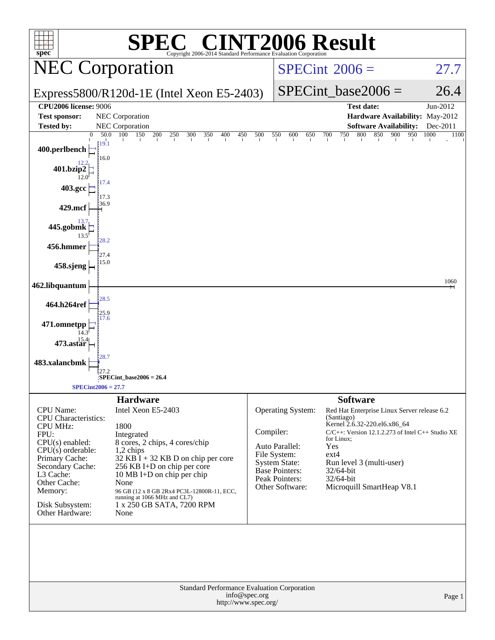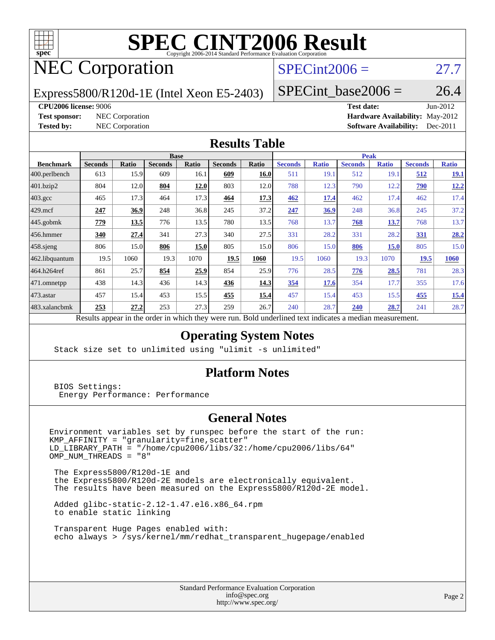

# **[SPEC CINT2006 Result](http://www.spec.org/auto/cpu2006/Docs/result-fields.html#SPECCINT2006Result)**

## NEC Corporation

## $SPECint2006 = 27.7$  $SPECint2006 = 27.7$

Express5800/R120d-1E (Intel Xeon E5-2403)

SPECint base2006 =  $26.4$ 

#### **[CPU2006 license:](http://www.spec.org/auto/cpu2006/Docs/result-fields.html#CPU2006license)** 9006 **[Test date:](http://www.spec.org/auto/cpu2006/Docs/result-fields.html#Testdate)** Jun-2012

**[Test sponsor:](http://www.spec.org/auto/cpu2006/Docs/result-fields.html#Testsponsor)** NEC Corporation **[Hardware Availability:](http://www.spec.org/auto/cpu2006/Docs/result-fields.html#HardwareAvailability)** May-2012 **[Tested by:](http://www.spec.org/auto/cpu2006/Docs/result-fields.html#Testedby)** NEC Corporation **[Software Availability:](http://www.spec.org/auto/cpu2006/Docs/result-fields.html#SoftwareAvailability)** Dec-2011

### **[Results Table](http://www.spec.org/auto/cpu2006/Docs/result-fields.html#ResultsTable)**

|                   | <b>Base</b>               |                |                |          |                |             | <b>Peak</b>    |              |                |              |                |              |
|-------------------|---------------------------|----------------|----------------|----------|----------------|-------------|----------------|--------------|----------------|--------------|----------------|--------------|
| <b>Benchmark</b>  | <b>Seconds</b>            | Ratio          | <b>Seconds</b> | Ratio    | <b>Seconds</b> | Ratio       | <b>Seconds</b> | <b>Ratio</b> | <b>Seconds</b> | <b>Ratio</b> | <b>Seconds</b> | <b>Ratio</b> |
| $ 400$ .perlbench | 613                       | 15.9           | 609            | 16.1     | 609            | 16.0        | 511            | 19.1         | 512            | 19.1         | 512            | 19.1         |
| 401.bzip2         | 804                       | 12.0           | 804            | 12.0     | 803            | 12.0        | 788            | 12.3         | 790            | 12.2         | <b>790</b>     | 12.2         |
| 403.gcc           | 465                       | 17.3           | 464            | 17.3     | 464            | 17.3        | 462            | <u>17.4</u>  | 462            | 17.4         | 462            | 17.4         |
| $429$ .mcf        | 247                       | 36.9           | 248            | 36.8     | 245            | 37.2        | 247            | 36.9         | 248            | 36.8         | 245            | 37.2         |
| $445$ .gobmk      | 779                       | 13.5           | 776            | 13.5     | 780            | 13.5        | 768            | 13.7         | 768            | 13.7         | 768            | 13.7         |
| $456.$ hmmer      | 340                       | 27.4           | 341            | 27.3     | 340            | 27.5        | 331            | 28.2         | 331            | 28.2         | 331            | 28.2         |
| $458$ .sjeng      | 806                       | 15.0           | 806            | 15.0     | 805            | 15.0        | 806            | 15.0         | 806            | <b>15.0</b>  | 805            | 15.0         |
| 462.libquantum    | 19.5                      | 1060           | 19.3           | 1070     | 19.5           | 1060        | 19.5           | 1060         | 19.3           | 1070         | 19.5           | 1060         |
| 464.h264ref       | 861                       | 25.7           | 854            | 25.9     | 854            | 25.9        | 776            | 28.5         | 776            | 28.5         | 781            | 28.3         |
| 471.omnetpp       | 438                       | 14.3           | 436            | 14.3     | 436            | <u>14.3</u> | 354            | 17.6         | 354            | 17.7         | 355            | 17.6         |
| $473$ . astar     | 457                       | 15.4           | 453            | 15.5     | 455            | <u>15.4</u> | 457            | 15.4         | 453            | 15.5         | 455            | 15.4         |
| 483.xalancbmk     | 253                       | 27.2           | 253            | 27.3     | 259            | 26.7        | 240            | 28.7         | 240            | 28.7         | 241            | 28.7         |
|                   | $\mathbf{D}$ $\mathbf{L}$ | $\overline{1}$ | A.             | 1.3.1.41 |                | D.11        |                |              |                |              |                |              |

Results appear in the [order in which they were run.](http://www.spec.org/auto/cpu2006/Docs/result-fields.html#RunOrder) Bold underlined text [indicates a median measurement.](http://www.spec.org/auto/cpu2006/Docs/result-fields.html#Median)

### **[Operating System Notes](http://www.spec.org/auto/cpu2006/Docs/result-fields.html#OperatingSystemNotes)**

Stack size set to unlimited using "ulimit -s unlimited"

### **[Platform Notes](http://www.spec.org/auto/cpu2006/Docs/result-fields.html#PlatformNotes)**

 BIOS Settings: Energy Performance: Performance

### **[General Notes](http://www.spec.org/auto/cpu2006/Docs/result-fields.html#GeneralNotes)**

Environment variables set by runspec before the start of the run: KMP\_AFFINITY = "granularity=fine,scatter" LD\_LIBRARY\_PATH = "/home/cpu2006/libs/32:/home/cpu2006/libs/64"  $OMP_NUM_THREADS = "8"$ 

 The Express5800/R120d-1E and the Express5800/R120d-2E models are electronically equivalent. The results have been measured on the Express5800/R120d-2E model.

 Added glibc-static-2.12-1.47.el6.x86\_64.rpm to enable static linking

 Transparent Huge Pages enabled with: echo always > /sys/kernel/mm/redhat\_transparent\_hugepage/enabled

> Standard Performance Evaluation Corporation [info@spec.org](mailto:info@spec.org) <http://www.spec.org/>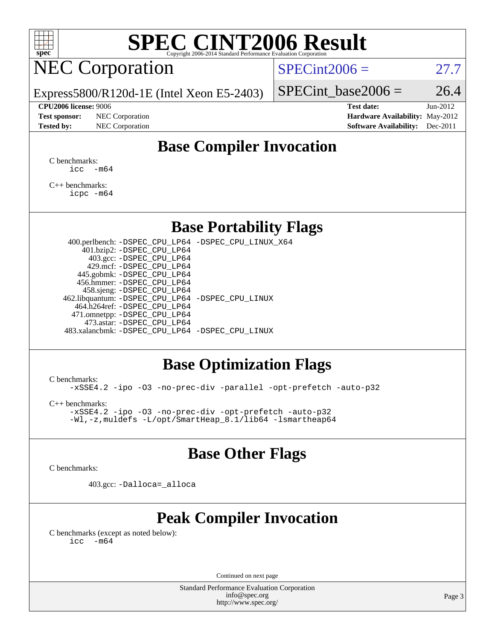

# **[SPEC CINT2006 Result](http://www.spec.org/auto/cpu2006/Docs/result-fields.html#SPECCINT2006Result)**

## NEC Corporation

 $SPECint2006 = 27.7$  $SPECint2006 = 27.7$ 

Express5800/R120d-1E (Intel Xeon E5-2403)

#### **[CPU2006 license:](http://www.spec.org/auto/cpu2006/Docs/result-fields.html#CPU2006license)** 9006 **[Test date:](http://www.spec.org/auto/cpu2006/Docs/result-fields.html#Testdate)** Jun-2012

**[Test sponsor:](http://www.spec.org/auto/cpu2006/Docs/result-fields.html#Testsponsor)** NEC Corporation **[Hardware Availability:](http://www.spec.org/auto/cpu2006/Docs/result-fields.html#HardwareAvailability)** May-2012

SPECint base2006 =  $26.4$ 

**[Tested by:](http://www.spec.org/auto/cpu2006/Docs/result-fields.html#Testedby)** NEC Corporation **[Software Availability:](http://www.spec.org/auto/cpu2006/Docs/result-fields.html#SoftwareAvailability)** Dec-2011

## **[Base Compiler Invocation](http://www.spec.org/auto/cpu2006/Docs/result-fields.html#BaseCompilerInvocation)**

[C benchmarks](http://www.spec.org/auto/cpu2006/Docs/result-fields.html#Cbenchmarks):  $\text{icc}$   $-\text{m64}$ 

[C++ benchmarks:](http://www.spec.org/auto/cpu2006/Docs/result-fields.html#CXXbenchmarks) [icpc -m64](http://www.spec.org/cpu2006/results/res2012q3/cpu2006-20120617-22911.flags.html#user_CXXbase_intel_icpc_64bit_fc66a5337ce925472a5c54ad6a0de310)

### **[Base Portability Flags](http://www.spec.org/auto/cpu2006/Docs/result-fields.html#BasePortabilityFlags)**

 400.perlbench: [-DSPEC\\_CPU\\_LP64](http://www.spec.org/cpu2006/results/res2012q3/cpu2006-20120617-22911.flags.html#b400.perlbench_basePORTABILITY_DSPEC_CPU_LP64) [-DSPEC\\_CPU\\_LINUX\\_X64](http://www.spec.org/cpu2006/results/res2012q3/cpu2006-20120617-22911.flags.html#b400.perlbench_baseCPORTABILITY_DSPEC_CPU_LINUX_X64) 401.bzip2: [-DSPEC\\_CPU\\_LP64](http://www.spec.org/cpu2006/results/res2012q3/cpu2006-20120617-22911.flags.html#suite_basePORTABILITY401_bzip2_DSPEC_CPU_LP64) 403.gcc: [-DSPEC\\_CPU\\_LP64](http://www.spec.org/cpu2006/results/res2012q3/cpu2006-20120617-22911.flags.html#suite_basePORTABILITY403_gcc_DSPEC_CPU_LP64) 429.mcf: [-DSPEC\\_CPU\\_LP64](http://www.spec.org/cpu2006/results/res2012q3/cpu2006-20120617-22911.flags.html#suite_basePORTABILITY429_mcf_DSPEC_CPU_LP64) 445.gobmk: [-DSPEC\\_CPU\\_LP64](http://www.spec.org/cpu2006/results/res2012q3/cpu2006-20120617-22911.flags.html#suite_basePORTABILITY445_gobmk_DSPEC_CPU_LP64) 456.hmmer: [-DSPEC\\_CPU\\_LP64](http://www.spec.org/cpu2006/results/res2012q3/cpu2006-20120617-22911.flags.html#suite_basePORTABILITY456_hmmer_DSPEC_CPU_LP64) 458.sjeng: [-DSPEC\\_CPU\\_LP64](http://www.spec.org/cpu2006/results/res2012q3/cpu2006-20120617-22911.flags.html#suite_basePORTABILITY458_sjeng_DSPEC_CPU_LP64) 462.libquantum: [-DSPEC\\_CPU\\_LP64](http://www.spec.org/cpu2006/results/res2012q3/cpu2006-20120617-22911.flags.html#suite_basePORTABILITY462_libquantum_DSPEC_CPU_LP64) [-DSPEC\\_CPU\\_LINUX](http://www.spec.org/cpu2006/results/res2012q3/cpu2006-20120617-22911.flags.html#b462.libquantum_baseCPORTABILITY_DSPEC_CPU_LINUX) 464.h264ref: [-DSPEC\\_CPU\\_LP64](http://www.spec.org/cpu2006/results/res2012q3/cpu2006-20120617-22911.flags.html#suite_basePORTABILITY464_h264ref_DSPEC_CPU_LP64) 471.omnetpp: [-DSPEC\\_CPU\\_LP64](http://www.spec.org/cpu2006/results/res2012q3/cpu2006-20120617-22911.flags.html#suite_basePORTABILITY471_omnetpp_DSPEC_CPU_LP64) 473.astar: [-DSPEC\\_CPU\\_LP64](http://www.spec.org/cpu2006/results/res2012q3/cpu2006-20120617-22911.flags.html#suite_basePORTABILITY473_astar_DSPEC_CPU_LP64) 483.xalancbmk: [-DSPEC\\_CPU\\_LP64](http://www.spec.org/cpu2006/results/res2012q3/cpu2006-20120617-22911.flags.html#suite_basePORTABILITY483_xalancbmk_DSPEC_CPU_LP64) [-DSPEC\\_CPU\\_LINUX](http://www.spec.org/cpu2006/results/res2012q3/cpu2006-20120617-22911.flags.html#b483.xalancbmk_baseCXXPORTABILITY_DSPEC_CPU_LINUX)

## **[Base Optimization Flags](http://www.spec.org/auto/cpu2006/Docs/result-fields.html#BaseOptimizationFlags)**

[C benchmarks](http://www.spec.org/auto/cpu2006/Docs/result-fields.html#Cbenchmarks):

[-xSSE4.2](http://www.spec.org/cpu2006/results/res2012q3/cpu2006-20120617-22911.flags.html#user_CCbase_f-xSSE42_f91528193cf0b216347adb8b939d4107) [-ipo](http://www.spec.org/cpu2006/results/res2012q3/cpu2006-20120617-22911.flags.html#user_CCbase_f-ipo) [-O3](http://www.spec.org/cpu2006/results/res2012q3/cpu2006-20120617-22911.flags.html#user_CCbase_f-O3) [-no-prec-div](http://www.spec.org/cpu2006/results/res2012q3/cpu2006-20120617-22911.flags.html#user_CCbase_f-no-prec-div) [-parallel](http://www.spec.org/cpu2006/results/res2012q3/cpu2006-20120617-22911.flags.html#user_CCbase_f-parallel) [-opt-prefetch](http://www.spec.org/cpu2006/results/res2012q3/cpu2006-20120617-22911.flags.html#user_CCbase_f-opt-prefetch) [-auto-p32](http://www.spec.org/cpu2006/results/res2012q3/cpu2006-20120617-22911.flags.html#user_CCbase_f-auto-p32)

[C++ benchmarks:](http://www.spec.org/auto/cpu2006/Docs/result-fields.html#CXXbenchmarks)

[-xSSE4.2](http://www.spec.org/cpu2006/results/res2012q3/cpu2006-20120617-22911.flags.html#user_CXXbase_f-xSSE42_f91528193cf0b216347adb8b939d4107) [-ipo](http://www.spec.org/cpu2006/results/res2012q3/cpu2006-20120617-22911.flags.html#user_CXXbase_f-ipo) [-O3](http://www.spec.org/cpu2006/results/res2012q3/cpu2006-20120617-22911.flags.html#user_CXXbase_f-O3) [-no-prec-div](http://www.spec.org/cpu2006/results/res2012q3/cpu2006-20120617-22911.flags.html#user_CXXbase_f-no-prec-div) [-opt-prefetch](http://www.spec.org/cpu2006/results/res2012q3/cpu2006-20120617-22911.flags.html#user_CXXbase_f-opt-prefetch) [-auto-p32](http://www.spec.org/cpu2006/results/res2012q3/cpu2006-20120617-22911.flags.html#user_CXXbase_f-auto-p32) [-Wl,-z,muldefs](http://www.spec.org/cpu2006/results/res2012q3/cpu2006-20120617-22911.flags.html#user_CXXbase_link_force_multiple1_74079c344b956b9658436fd1b6dd3a8a) [-L/opt/SmartHeap\\_8.1/lib64 -lsmartheap64](http://www.spec.org/cpu2006/results/res2012q3/cpu2006-20120617-22911.flags.html#user_CXXbase_SmartHeap64_7ff9c3d8ca51c2767359d6aa2f519d77)

## **[Base Other Flags](http://www.spec.org/auto/cpu2006/Docs/result-fields.html#BaseOtherFlags)**

[C benchmarks](http://www.spec.org/auto/cpu2006/Docs/result-fields.html#Cbenchmarks):

403.gcc: [-Dalloca=\\_alloca](http://www.spec.org/cpu2006/results/res2012q3/cpu2006-20120617-22911.flags.html#b403.gcc_baseEXTRA_CFLAGS_Dalloca_be3056838c12de2578596ca5467af7f3)

## **[Peak Compiler Invocation](http://www.spec.org/auto/cpu2006/Docs/result-fields.html#PeakCompilerInvocation)**

[C benchmarks \(except as noted below\)](http://www.spec.org/auto/cpu2006/Docs/result-fields.html#Cbenchmarksexceptasnotedbelow):  $\text{icc}$  -m64

Continued on next page

Standard Performance Evaluation Corporation [info@spec.org](mailto:info@spec.org) <http://www.spec.org/>

Page 3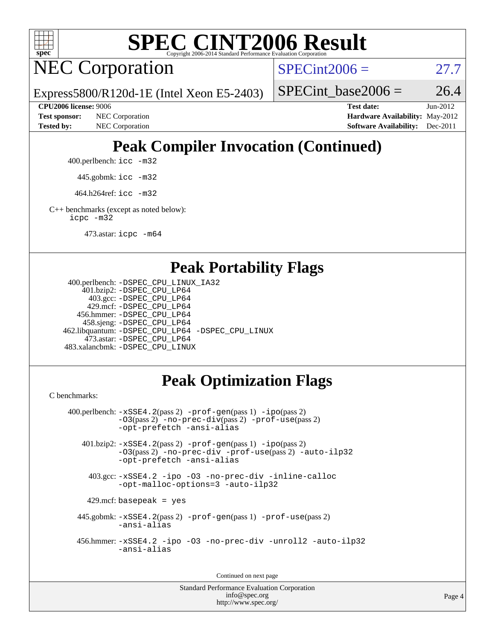

# **[SPEC CINT2006 Result](http://www.spec.org/auto/cpu2006/Docs/result-fields.html#SPECCINT2006Result)**

NEC Corporation

 $SPECint2006 = 27.7$  $SPECint2006 = 27.7$ 

Express5800/R120d-1E (Intel Xeon E5-2403)

SPECint base2006 =  $26.4$ 

**[Tested by:](http://www.spec.org/auto/cpu2006/Docs/result-fields.html#Testedby)** NEC Corporation **[Software Availability:](http://www.spec.org/auto/cpu2006/Docs/result-fields.html#SoftwareAvailability)** Dec-2011

**[CPU2006 license:](http://www.spec.org/auto/cpu2006/Docs/result-fields.html#CPU2006license)** 9006 **[Test date:](http://www.spec.org/auto/cpu2006/Docs/result-fields.html#Testdate)** Jun-2012 **[Test sponsor:](http://www.spec.org/auto/cpu2006/Docs/result-fields.html#Testsponsor)** NEC Corporation **[Hardware Availability:](http://www.spec.org/auto/cpu2006/Docs/result-fields.html#HardwareAvailability)** May-2012

## **[Peak Compiler Invocation \(Continued\)](http://www.spec.org/auto/cpu2006/Docs/result-fields.html#PeakCompilerInvocation)**

400.perlbench: [icc -m32](http://www.spec.org/cpu2006/results/res2012q3/cpu2006-20120617-22911.flags.html#user_peakCCLD400_perlbench_intel_icc_a6a621f8d50482236b970c6ac5f55f93)

445.gobmk: [icc -m32](http://www.spec.org/cpu2006/results/res2012q3/cpu2006-20120617-22911.flags.html#user_peakCCLD445_gobmk_intel_icc_a6a621f8d50482236b970c6ac5f55f93)

464.h264ref: [icc -m32](http://www.spec.org/cpu2006/results/res2012q3/cpu2006-20120617-22911.flags.html#user_peakCCLD464_h264ref_intel_icc_a6a621f8d50482236b970c6ac5f55f93)

[C++ benchmarks \(except as noted below\):](http://www.spec.org/auto/cpu2006/Docs/result-fields.html#CXXbenchmarksexceptasnotedbelow) [icpc -m32](http://www.spec.org/cpu2006/results/res2012q3/cpu2006-20120617-22911.flags.html#user_CXXpeak_intel_icpc_4e5a5ef1a53fd332b3c49e69c3330699)

473.astar: [icpc -m64](http://www.spec.org/cpu2006/results/res2012q3/cpu2006-20120617-22911.flags.html#user_peakCXXLD473_astar_intel_icpc_64bit_fc66a5337ce925472a5c54ad6a0de310)

## **[Peak Portability Flags](http://www.spec.org/auto/cpu2006/Docs/result-fields.html#PeakPortabilityFlags)**

```
 400.perlbench: -DSPEC_CPU_LINUX_IA32
    401.bzip2: -DSPEC_CPU_LP64
      403.gcc: -DSPEC_CPU_LP64
     429.mcf: -DSPEC_CPU_LP64
   456.hmmer: -DSPEC_CPU_LP64
    458.sjeng: -DSPEC_CPU_LP64
462.libquantum: -DSPEC_CPU_LP64 -DSPEC_CPU_LINUX
     473.astar: -DSPEC_CPU_LP64
483.xalancbmk: -DSPEC_CPU_LINUX
```
## **[Peak Optimization Flags](http://www.spec.org/auto/cpu2006/Docs/result-fields.html#PeakOptimizationFlags)**

[C benchmarks](http://www.spec.org/auto/cpu2006/Docs/result-fields.html#Cbenchmarks):

```
 400.perlbench: -xSSE4.2(pass 2) -prof-gen(pass 1) -ipo(pass 2)
           -O3(pass 2) -no-prec-div(pass 2) -prof-use(pass 2)
          -opt-prefetch -ansi-alias
   401.bzip2: -xSSE4.2(pass 2) -prof-gen(pass 1) -ipo(pass 2)
           -O3(pass 2) -no-prec-div -prof-use(pass 2) -auto-ilp32
           -opt-prefetch -ansi-alias
    403.gcc: -xSSE4.2 -ipo -O3 -no-prec-div -inline-calloc
           -opt-malloc-options=3 -auto-ilp32
   429.mcf: basepeak = yes
  445.gobmk: -xSSE4.2(pass 2) -prof-gen(pass 1) -prof-use(pass 2)
           -ansi-alias
  456.hmmer: -xSSE4.2 -ipo -O3 -no-prec-div -unroll2 -auto-ilp32
           -ansi-alias
```
Continued on next page

Standard Performance Evaluation Corporation [info@spec.org](mailto:info@spec.org) <http://www.spec.org/>